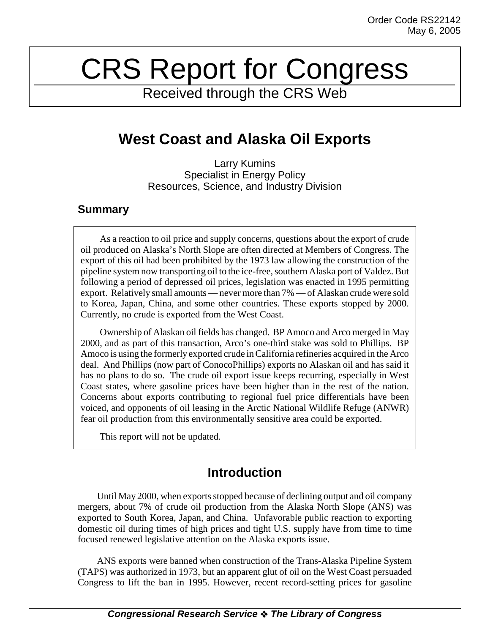# CRS Report for Congress

Received through the CRS Web

# **West Coast and Alaska Oil Exports**

Larry Kumins Specialist in Energy Policy Resources, Science, and Industry Division

#### **Summary**

As a reaction to oil price and supply concerns, questions about the export of crude oil produced on Alaska's North Slope are often directed at Members of Congress. The export of this oil had been prohibited by the 1973 law allowing the construction of the pipeline system now transporting oil to the ice-free, southern Alaska port of Valdez. But following a period of depressed oil prices, legislation was enacted in 1995 permitting export. Relatively small amounts — never more than 7% — of Alaskan crude were sold to Korea, Japan, China, and some other countries. These exports stopped by 2000. Currently, no crude is exported from the West Coast.

Ownership of Alaskan oil fields has changed. BP Amoco and Arco merged in May 2000, and as part of this transaction, Arco's one-third stake was sold to Phillips. BP Amoco is using the formerly exported crude in California refineries acquired in the Arco deal. And Phillips (now part of ConocoPhillips) exports no Alaskan oil and has said it has no plans to do so. The crude oil export issue keeps recurring, especially in West Coast states, where gasoline prices have been higher than in the rest of the nation. Concerns about exports contributing to regional fuel price differentials have been voiced, and opponents of oil leasing in the Arctic National Wildlife Refuge (ANWR) fear oil production from this environmentally sensitive area could be exported.

This report will not be updated.

## **Introduction**

Until May 2000, when exports stopped because of declining output and oil company mergers, about 7% of crude oil production from the Alaska North Slope (ANS) was exported to South Korea, Japan, and China. Unfavorable public reaction to exporting domestic oil during times of high prices and tight U.S. supply have from time to time focused renewed legislative attention on the Alaska exports issue.

ANS exports were banned when construction of the Trans-Alaska Pipeline System (TAPS) was authorized in 1973, but an apparent glut of oil on the West Coast persuaded Congress to lift the ban in 1995. However, recent record-setting prices for gasoline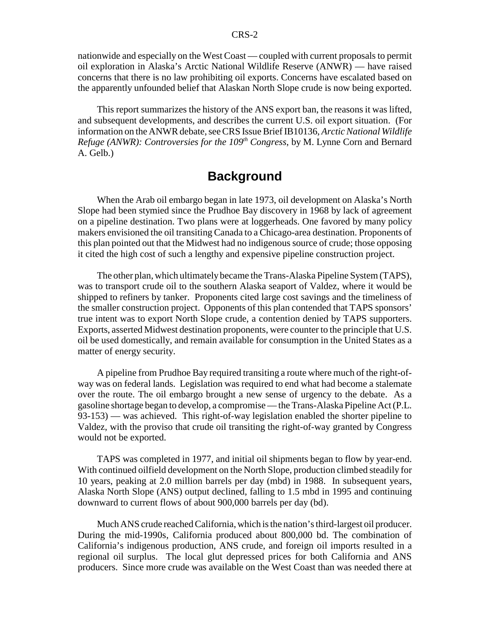nationwide and especially on the West Coast — coupled with current proposals to permit oil exploration in Alaska's Arctic National Wildlife Reserve (ANWR) — have raised concerns that there is no law prohibiting oil exports. Concerns have escalated based on the apparently unfounded belief that Alaskan North Slope crude is now being exported.

This report summarizes the history of the ANS export ban, the reasons it was lifted, and subsequent developments, and describes the current U.S. oil export situation. (For information on the ANWR debate, see CRS Issue Brief IB10136, *Arctic National Wildlife Refuge (ANWR): Controversies for the 109<sup>th</sup> Congress*, by M. Lynne Corn and Bernard A. Gelb.)

### **Background**

When the Arab oil embargo began in late 1973, oil development on Alaska's North Slope had been stymied since the Prudhoe Bay discovery in 1968 by lack of agreement on a pipeline destination. Two plans were at loggerheads. One favored by many policy makers envisioned the oil transiting Canada to a Chicago-area destination. Proponents of this plan pointed out that the Midwest had no indigenous source of crude; those opposing it cited the high cost of such a lengthy and expensive pipeline construction project.

The other plan, which ultimately became the Trans-Alaska Pipeline System (TAPS), was to transport crude oil to the southern Alaska seaport of Valdez, where it would be shipped to refiners by tanker. Proponents cited large cost savings and the timeliness of the smaller construction project. Opponents of this plan contended that TAPS sponsors' true intent was to export North Slope crude, a contention denied by TAPS supporters. Exports, asserted Midwest destination proponents, were counter to the principle that U.S. oil be used domestically, and remain available for consumption in the United States as a matter of energy security.

A pipeline from Prudhoe Bay required transiting a route where much of the right-ofway was on federal lands. Legislation was required to end what had become a stalemate over the route. The oil embargo brought a new sense of urgency to the debate. As a gasoline shortage began to develop, a compromise — the Trans-Alaska Pipeline Act (P.L. 93-153) — was achieved. This right-of-way legislation enabled the shorter pipeline to Valdez, with the proviso that crude oil transiting the right-of-way granted by Congress would not be exported.

TAPS was completed in 1977, and initial oil shipments began to flow by year-end. With continued oilfield development on the North Slope, production climbed steadily for 10 years, peaking at 2.0 million barrels per day (mbd) in 1988. In subsequent years, Alaska North Slope (ANS) output declined, falling to 1.5 mbd in 1995 and continuing downward to current flows of about 900,000 barrels per day (bd).

Much ANS crude reached California, which is the nation's third-largest oil producer. During the mid-1990s, California produced about 800,000 bd. The combination of California's indigenous production, ANS crude, and foreign oil imports resulted in a regional oil surplus. The local glut depressed prices for both California and ANS producers. Since more crude was available on the West Coast than was needed there at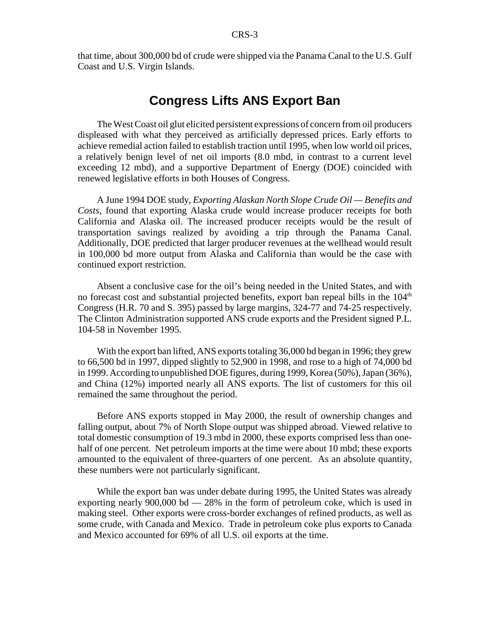that time, about 300,000 bd of crude were shipped via the Panama Canal to the U.S. Gulf Coast and U.S. Virgin Islands.

### **Congress Lifts ANS Export Ban**

The West Coast oil glut elicited persistent expressions of concern from oil producers displeased with what they perceived as artificially depressed prices. Early efforts to achieve remedial action failed to establish traction until 1995, when low world oil prices, a relatively benign level of net oil imports (8.0 mbd, in contrast to a current level exceeding 12 mbd), and a supportive Department of Energy (DOE) coincided with renewed legislative efforts in both Houses of Congress.

A June 1994 DOE study, *Exporting Alaskan North Slope Crude Oil — Benefits and Costs*, found that exporting Alaska crude would increase producer receipts for both California and Alaska oil. The increased producer receipts would be the result of transportation savings realized by avoiding a trip through the Panama Canal. Additionally, DOE predicted that larger producer revenues at the wellhead would result in 100,000 bd more output from Alaska and California than would be the case with continued export restriction.

Absent a conclusive case for the oil's being needed in the United States, and with no forecast cost and substantial projected benefits, export ban repeal bills in the  $104<sup>th</sup>$ Congress (H.R. 70 and S. 395) passed by large margins, 324-77 and 74-25 respectively. The Clinton Administration supported ANS crude exports and the President signed P.L. 104-58 in November 1995.

With the export ban lifted, ANS exports totaling 36,000 bd began in 1996; they grew to 66,500 bd in 1997, dipped slightly to 52,900 in 1998, and rose to a high of 74,000 bd in 1999. According to unpublished DOE figures, during 1999, Korea (50%), Japan (36%), and China (12%) imported nearly all ANS exports. The list of customers for this oil remained the same throughout the period.

Before ANS exports stopped in May 2000, the result of ownership changes and falling output, about 7% of North Slope output was shipped abroad. Viewed relative to total domestic consumption of 19.3 mbd in 2000, these exports comprised less than onehalf of one percent. Net petroleum imports at the time were about 10 mbd; these exports amounted to the equivalent of three-quarters of one percent. As an absolute quantity, these numbers were not particularly significant.

While the export ban was under debate during 1995, the United States was already exporting nearly 900,000 bd  $-28\%$  in the form of petroleum coke, which is used in making steel. Other exports were cross-border exchanges of refined products, as well as some crude, with Canada and Mexico. Trade in petroleum coke plus exports to Canada and Mexico accounted for 69% of all U.S. oil exports at the time.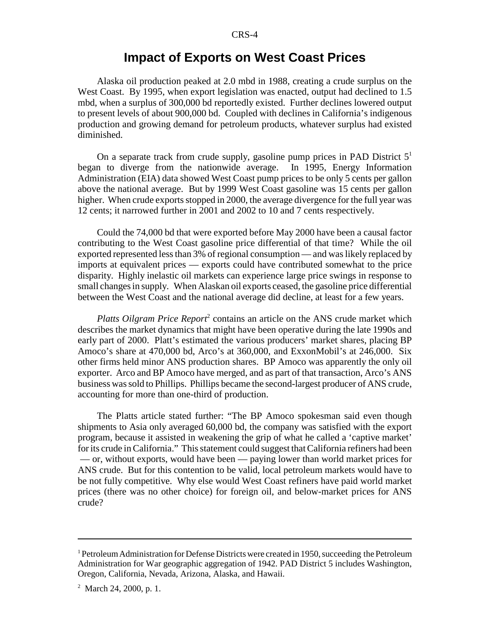#### **Impact of Exports on West Coast Prices**

Alaska oil production peaked at 2.0 mbd in 1988, creating a crude surplus on the West Coast. By 1995, when export legislation was enacted, output had declined to 1.5 mbd, when a surplus of 300,000 bd reportedly existed. Further declines lowered output to present levels of about 900,000 bd. Coupled with declines in California's indigenous production and growing demand for petroleum products, whatever surplus had existed diminished.

On a separate track from crude supply, gasoline pump prices in PAD District  $5<sup>1</sup>$ began to diverge from the nationwide average. In 1995, Energy Information Administration (EIA) data showed West Coast pump prices to be only 5 cents per gallon above the national average. But by 1999 West Coast gasoline was 15 cents per gallon higher. When crude exports stopped in 2000, the average divergence for the full year was 12 cents; it narrowed further in 2001 and 2002 to 10 and 7 cents respectively.

Could the 74,000 bd that were exported before May 2000 have been a causal factor contributing to the West Coast gasoline price differential of that time? While the oil exported represented less than 3% of regional consumption — and was likely replaced by imports at equivalent prices — exports could have contributed somewhat to the price disparity. Highly inelastic oil markets can experience large price swings in response to small changes in supply. When Alaskan oil exports ceased, the gasoline price differential between the West Coast and the national average did decline, at least for a few years.

Platts Oilgram Price Report<sup>2</sup> contains an article on the ANS crude market which describes the market dynamics that might have been operative during the late 1990s and early part of 2000. Platt's estimated the various producers' market shares, placing BP Amoco's share at 470,000 bd, Arco's at 360,000, and ExxonMobil's at 246,000. Six other firms held minor ANS production shares. BP Amoco was apparently the only oil exporter. Arco and BP Amoco have merged, and as part of that transaction, Arco's ANS business was sold to Phillips. Phillips became the second-largest producer of ANS crude, accounting for more than one-third of production.

The Platts article stated further: "The BP Amoco spokesman said even though shipments to Asia only averaged 60,000 bd, the company was satisfied with the export program, because it assisted in weakening the grip of what he called a 'captive market' for its crude in California." This statement could suggest that California refiners had been — or, without exports, would have been — paying lower than world market prices for ANS crude. But for this contention to be valid, local petroleum markets would have to be not fully competitive. Why else would West Coast refiners have paid world market prices (there was no other choice) for foreign oil, and below-market prices for ANS crude?

<sup>&</sup>lt;sup>1</sup> Petroleum Administration for Defense Districts were created in 1950, succeeding the Petroleum Administration for War geographic aggregation of 1942. PAD District 5 includes Washington, Oregon, California, Nevada, Arizona, Alaska, and Hawaii.

<sup>&</sup>lt;sup>2</sup> March 24, 2000, p. 1.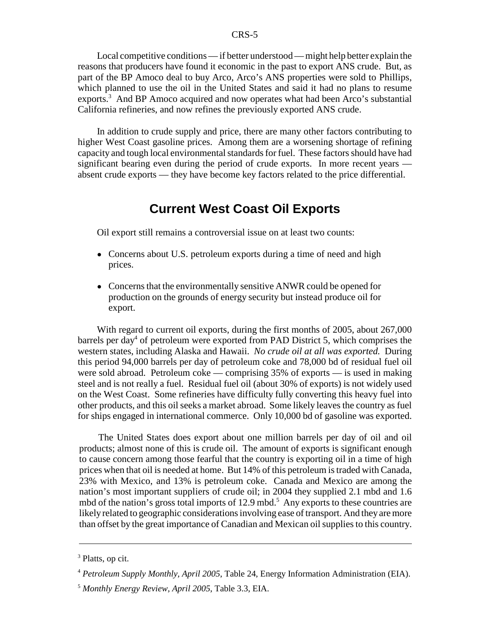Local competitive conditions — if better understood — might help better explain the reasons that producers have found it economic in the past to export ANS crude. But, as part of the BP Amoco deal to buy Arco, Arco's ANS properties were sold to Phillips, which planned to use the oil in the United States and said it had no plans to resume exports.<sup>3</sup> And BP Amoco acquired and now operates what had been Arco's substantial California refineries, and now refines the previously exported ANS crude.

In addition to crude supply and price, there are many other factors contributing to higher West Coast gasoline prices. Among them are a worsening shortage of refining capacity and tough local environmental standards for fuel. These factors should have had significant bearing even during the period of crude exports. In more recent years absent crude exports — they have become key factors related to the price differential.

### **Current West Coast Oil Exports**

Oil export still remains a controversial issue on at least two counts:

- Concerns about U.S. petroleum exports during a time of need and high prices.
- Concerns that the environmentally sensitive ANWR could be opened for production on the grounds of energy security but instead produce oil for export.

With regard to current oil exports, during the first months of 2005, about 267,000 barrels per day<sup>4</sup> of petroleum were exported from PAD District 5, which comprises the western states, including Alaska and Hawaii. *No crude oil at all was exported.* During this period 94,000 barrels per day of petroleum coke and 78,000 bd of residual fuel oil were sold abroad. Petroleum coke — comprising 35% of exports — is used in making steel and is not really a fuel. Residual fuel oil (about 30% of exports) is not widely used on the West Coast. Some refineries have difficulty fully converting this heavy fuel into other products, and this oil seeks a market abroad. Some likely leaves the country as fuel for ships engaged in international commerce. Only 10,000 bd of gasoline was exported.

The United States does export about one million barrels per day of oil and oil products; almost none of this is crude oil. The amount of exports is significant enough to cause concern among those fearful that the country is exporting oil in a time of high prices when that oil is needed at home. But 14% of this petroleum is traded with Canada, 23% with Mexico, and 13% is petroleum coke. Canada and Mexico are among the nation's most important suppliers of crude oil; in 2004 they supplied 2.1 mbd and 1.6 mbd of the nation's gross total imports of 12.9 mbd.<sup>5</sup> Any exports to these countries are likely related to geographic considerations involving ease of transport. And they are more than offset by the great importance of Canadian and Mexican oil supplies to this country.

<sup>&</sup>lt;sup>3</sup> Platts, op cit.

<sup>4</sup> *Petroleum Supply Monthly, April 2005*, Table 24, Energy Information Administration (EIA).

<sup>5</sup> *Monthly Energy Review, April 2005*, Table 3.3, EIA.